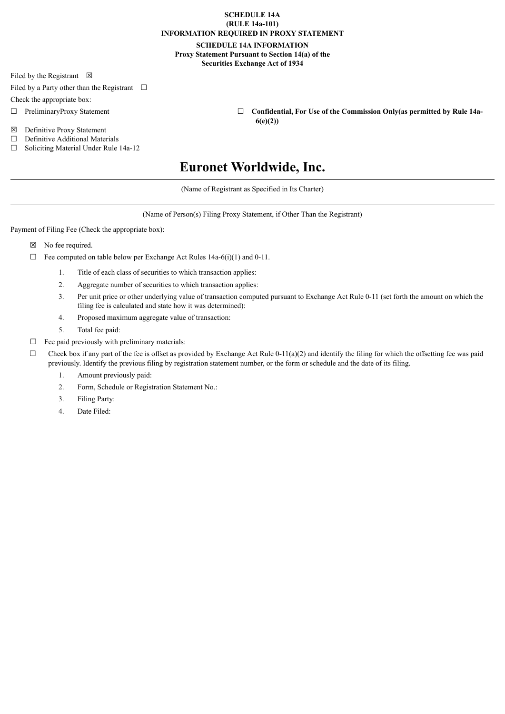# **SCHEDULE 14A (RULE 14a-101) INFORMATION REQUIRED IN PROXY STATEMENT**

# **SCHEDULE 14A INFORMATION Proxy Statement Pursuant to Section 14(a) of the Securities Exchange Act of 1934**

Filed by the Registrant  $\boxtimes$ 

Filed by a Party other than the Registrant  $\Box$ 

Check the appropriate box:

- 
- ☒ Definitive Proxy Statement
- ☐ Definitive Additional Materials
- ☐ Soliciting Material Under Rule 14a-12
- ☐ PreliminaryProxy Statement ☐ **Confidential, For Use of the Commission Only(as permitted by Rule 14a-6(e)(2))**

# **Euronet Worldwide, Inc.**

(Name of Registrant as Specified in Its Charter)

(Name of Person(s) Filing Proxy Statement, if Other Than the Registrant)

Payment of Filing Fee (Check the appropriate box):

☒ No fee required.

- $\Box$  Fee computed on table below per Exchange Act Rules 14a-6(i)(1) and 0-11.
	- 1. Title of each class of securities to which transaction applies:
	- 2. Aggregate number of securities to which transaction applies:
	- 3. Per unit price or other underlying value of transaction computed pursuant to Exchange Act Rule 0-11 (set forth the amount on which the filing fee is calculated and state how it was determined):
	- 4. Proposed maximum aggregate value of transaction:
	- 5. Total fee paid:
- $\Box$  Fee paid previously with preliminary materials:
- $\Box$  Check box if any part of the fee is offset as provided by Exchange Act Rule 0-11(a)(2) and identify the filing for which the offsetting fee was paid previously. Identify the previous filing by registration statement number, or the form or schedule and the date of its filing.
	- 1. Amount previously paid:
	- 2. Form, Schedule or Registration Statement No.:
	- 3. Filing Party:
	- 4. Date Filed: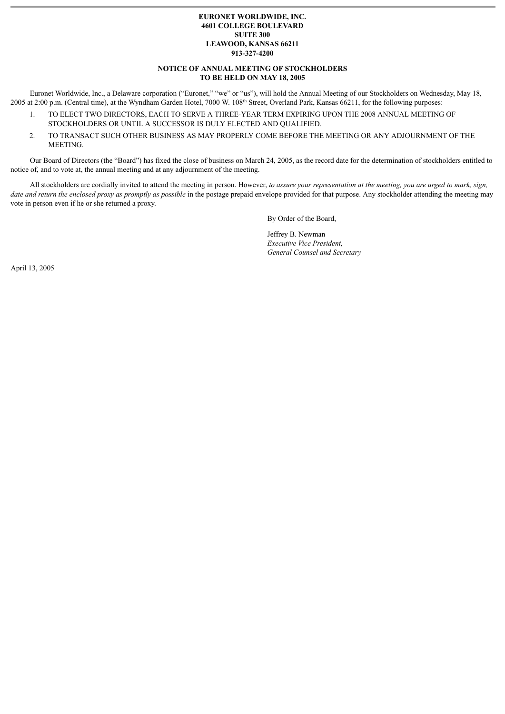# **EURONET WORLDWIDE, INC. 4601 COLLEGE BOULEVARD SUITE 300 LEAWOOD, KANSAS 66211 913-327-4200**

# **NOTICE OF ANNUAL MEETING OF STOCKHOLDERS TO BE HELD ON MAY 18, 2005**

Euronet Worldwide, Inc., a Delaware corporation ("Euronet," "we" or "us"), will hold the Annual Meeting of our Stockholders on Wednesday, May 18, 2005 at 2:00 p.m. (Central time), at the Wyndham Garden Hotel, 7000 W. 108<sup>th</sup> Street, Overland Park, Kansas 66211, for the following purposes:

- 1. TO ELECT TWO DIRECTORS, EACH TO SERVE A THREE-YEAR TERM EXPIRING UPON THE 2008 ANNUAL MEETING OF STOCKHOLDERS OR UNTIL A SUCCESSOR IS DULY ELECTED AND QUALIFIED.
- 2. TO TRANSACT SUCH OTHER BUSINESS AS MAY PROPERLY COME BEFORE THE MEETING OR ANY ADJOURNMENT OF THE MEETING.

Our Board of Directors (the "Board") has fixed the close of business on March 24, 2005, as the record date for the determination of stockholders entitled to notice of, and to vote at, the annual meeting and at any adjournment of the meeting.

All stockholders are cordially invited to attend the meeting in person. However, *to assure your representation at the meeting, you are urged to mark, sign, date and return the enclosed proxy as promptly as possible* in the postage prepaid envelope provided for that purpose. Any stockholder attending the meeting may vote in person even if he or she returned a proxy.

By Order of the Board,

Jeffrey B. Newman *Executive Vice President, General Counsel and Secretary*

April 13, 2005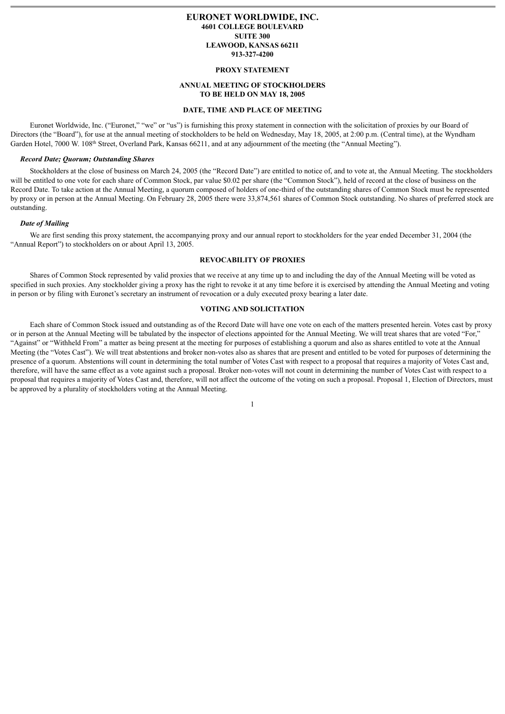# **EURONET WORLDWIDE, INC. 4601 COLLEGE BOULEVARD SUITE 300 LEAWOOD, KANSAS 66211 913-327-4200**

# **PROXY STATEMENT**

# **ANNUAL MEETING OF STOCKHOLDERS TO BE HELD ON MAY 18, 2005**

#### **DATE, TIME AND PLACE OF MEETING**

Euronet Worldwide, Inc. ("Euronet," "we" or "us") is furnishing this proxy statement in connection with the solicitation of proxies by our Board of Directors (the "Board"), for use at the annual meeting of stockholders to be held on Wednesday, May 18, 2005, at 2:00 p.m. (Central time), at the Wyndham Garden Hotel, 7000 W. 108<sup>th</sup> Street, Overland Park, Kansas 66211, and at any adjournment of the meeting (the "Annual Meeting").

## *Record Date; Quorum; Outstanding Shares*

Stockholders at the close of business on March 24, 2005 (the "Record Date") are entitled to notice of, and to vote at, the Annual Meeting. The stockholders will be entitled to one vote for each share of Common Stock, par value \$0.02 per share (the "Common Stock"), held of record at the close of business on the Record Date. To take action at the Annual Meeting, a quorum composed of holders of one-third of the outstanding shares of Common Stock must be represented by proxy or in person at the Annual Meeting. On February 28, 2005 there were 33,874,561 shares of Common Stock outstanding. No shares of preferred stock are outstanding.

#### *Date of Mailing*

We are first sending this proxy statement, the accompanying proxy and our annual report to stockholders for the year ended December 31, 2004 (the "Annual Report") to stockholders on or about April 13, 2005.

# **REVOCABILITY OF PROXIES**

Shares of Common Stock represented by valid proxies that we receive at any time up to and including the day of the Annual Meeting will be voted as specified in such proxies. Any stockholder giving a proxy has the right to revoke it at any time before it is exercised by attending the Annual Meeting and voting in person or by filing with Euronet's secretary an instrument of revocation or a duly executed proxy bearing a later date.

#### **VOTING AND SOLICITATION**

Each share of Common Stock issued and outstanding as of the Record Date will have one vote on each of the matters presented herein. Votes cast by proxy or in person at the Annual Meeting will be tabulated by the inspector of elections appointed for the Annual Meeting. We will treat shares that are voted "For," "Against" or "Withheld From" a matter as being present at the meeting for purposes of establishing a quorum and also as shares entitled to vote at the Annual Meeting (the "Votes Cast"). We will treat abstentions and broker non-votes also as shares that are present and entitled to be voted for purposes of determining the presence of a quorum. Abstentions will count in determining the total number of Votes Cast with respect to a proposal that requires a majority of Votes Cast and, therefore, will have the same effect as a vote against such a proposal. Broker non-votes will not count in determining the number of Votes Cast with respect to a proposal that requires a majority of Votes Cast and, therefore, will not affect the outcome of the voting on such a proposal. Proposal 1, Election of Directors, must be approved by a plurality of stockholders voting at the Annual Meeting.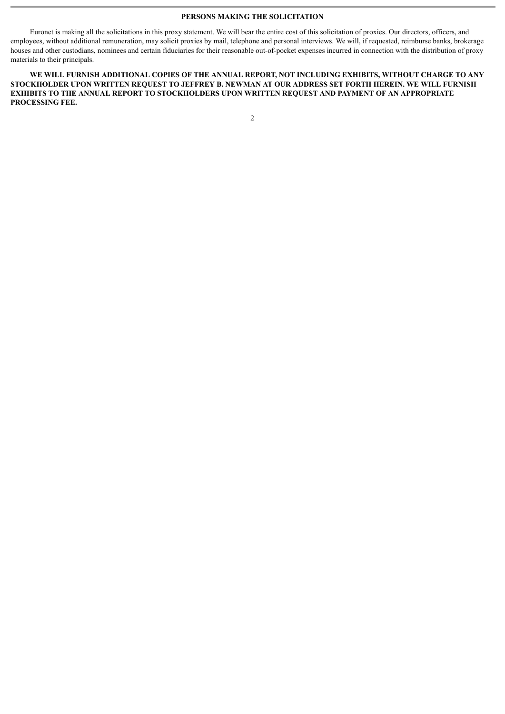## **PERSONS MAKING THE SOLICITATION**

Euronet is making all the solicitations in this proxy statement. We will bear the entire cost of this solicitation of proxies. Our directors, officers, and employees, without additional remuneration, may solicit proxies by mail, telephone and personal interviews. We will, if requested, reimburse banks, brokerage houses and other custodians, nominees and certain fiduciaries for their reasonable out-of-pocket expenses incurred in connection with the distribution of proxy materials to their principals.

**WE WILL FURNISH ADDITIONAL COPIES OF THE ANNUAL REPORT, NOT INCLUDING EXHIBITS, WITHOUT CHARGE TO ANY STOCKHOLDER UPON WRITTEN REQUEST TO JEFFREY B. NEWMAN AT OUR ADDRESS SET FORTH HEREIN. WE WILL FURNISH EXHIBITS TO THE ANNUAL REPORT TO STOCKHOLDERS UPON WRITTEN REQUEST AND PAYMENT OF AN APPROPRIATE PROCESSING FEE.**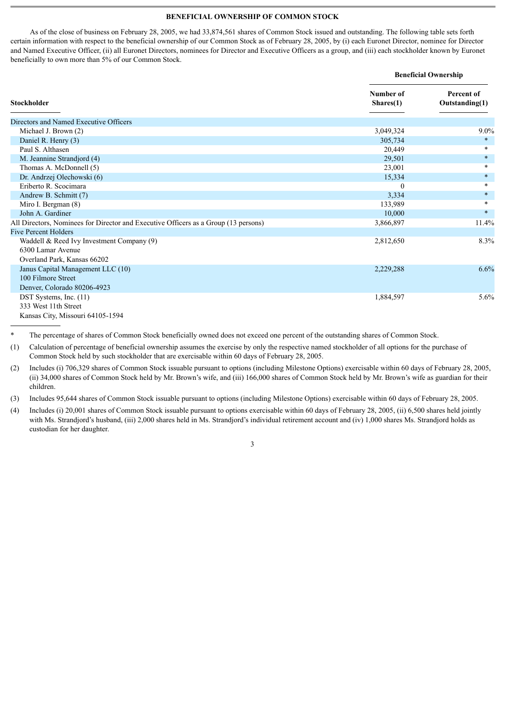# **BENEFICIAL OWNERSHIP OF COMMON STOCK**

As of the close of business on February 28, 2005, we had 33,874,561 shares of Common Stock issued and outstanding. The following table sets forth certain information with respect to the beneficial ownership of our Common Stock as of February 28, 2005, by (i) each Euronet Director, nominee for Director and Named Executive Officer, (ii) all Euronet Directors, nominees for Director and Executive Officers as a group, and (iii) each stockholder known by Euronet beneficially to own more than 5% of our Common Stock.

|                                                                                     | <b>Beneficial Ownership</b> |                              |  |  |  |
|-------------------------------------------------------------------------------------|-----------------------------|------------------------------|--|--|--|
| Stockholder                                                                         | Number of<br>Shares(1)      | Percent of<br>Outstanding(1) |  |  |  |
| Directors and Named Executive Officers                                              |                             |                              |  |  |  |
| Michael J. Brown (2)                                                                | 3,049,324                   | $9.0\%$                      |  |  |  |
| Daniel R. Henry (3)                                                                 | 305,734                     | $\ast$                       |  |  |  |
| Paul S. Althasen                                                                    | 20,449                      | $\ast$                       |  |  |  |
| M. Jeannine Strandjord (4)                                                          | 29,501                      | $\ast$                       |  |  |  |
| Thomas A. McDonnell (5)                                                             | 23,001                      | $\ast$                       |  |  |  |
| Dr. Andrzej Olechowski (6)                                                          | 15,334                      | $\ast$                       |  |  |  |
| Eriberto R. Scocimara                                                               | $\theta$                    | $\ast$                       |  |  |  |
| Andrew B. Schmitt (7)                                                               | 3,334                       | $\ast$                       |  |  |  |
| Miro I. Bergman (8)                                                                 | 133,989                     | $\ast$                       |  |  |  |
| John A. Gardiner                                                                    | 10,000                      | $\ast$                       |  |  |  |
| All Directors, Nominees for Director and Executive Officers as a Group (13 persons) | 3,866,897                   | 11.4%                        |  |  |  |
| <b>Five Percent Holders</b>                                                         |                             |                              |  |  |  |
| Waddell & Reed Ivy Investment Company (9)                                           | 2,812,650                   | 8.3%                         |  |  |  |
| 6300 Lamar Avenue                                                                   |                             |                              |  |  |  |
| Overland Park, Kansas 66202                                                         |                             |                              |  |  |  |
| Janus Capital Management LLC (10)                                                   | 2,229,288                   | 6.6%                         |  |  |  |
| 100 Filmore Street                                                                  |                             |                              |  |  |  |
| Denver, Colorado 80206-4923                                                         |                             |                              |  |  |  |
| DST Systems, Inc. (11)                                                              | 1,884,597                   | 5.6%                         |  |  |  |
| 333 West 11th Street                                                                |                             |                              |  |  |  |
| Kansas City, Missouri 64105-1594                                                    |                             |                              |  |  |  |

The percentage of shares of Common Stock beneficially owned does not exceed one percent of the outstanding shares of Common Stock.

(1) Calculation of percentage of beneficial ownership assumes the exercise by only the respective named stockholder of all options for the purchase of Common Stock held by such stockholder that are exercisable within 60 days of February 28, 2005.

(2) Includes (i) 706,329 shares of Common Stock issuable pursuant to options (including Milestone Options) exercisable within 60 days of February 28, 2005, (ii) 34,000 shares of Common Stock held by Mr. Brown's wife, and (iii) 166,000 shares of Common Stock held by Mr. Brown's wife as guardian for their children.

(3) Includes 95,644 shares of Common Stock issuable pursuant to options (including Milestone Options) exercisable within 60 days of February 28, 2005.

(4) Includes (i) 20,001 shares of Common Stock issuable pursuant to options exercisable within 60 days of February 28, 2005, (ii) 6,500 shares held jointly with Ms. Strandjord's husband, (iii) 2,000 shares held in Ms. Strandjord's individual retirement account and (iv) 1,000 shares Ms. Strandjord holds as custodian for her daughter.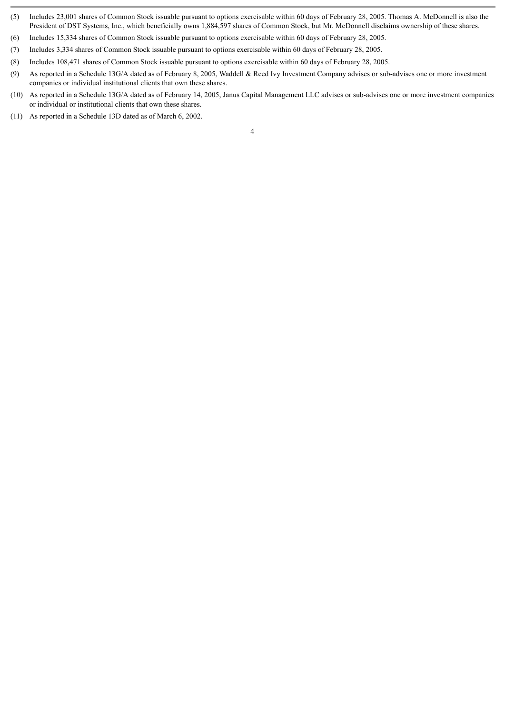- (5) Includes 23,001 shares of Common Stock issuable pursuant to options exercisable within 60 days of February 28, 2005. Thomas A. McDonnell is also the President of DST Systems, Inc., which beneficially owns 1,884,597 shares of Common Stock, but Mr. McDonnell disclaims ownership of these shares.
- (6) Includes 15,334 shares of Common Stock issuable pursuant to options exercisable within 60 days of February 28, 2005.
- (7) Includes 3,334 shares of Common Stock issuable pursuant to options exercisable within 60 days of February 28, 2005.
- (8) Includes 108,471 shares of Common Stock issuable pursuant to options exercisable within 60 days of February 28, 2005.
- (9) As reported in a Schedule 13G/A dated as of February 8, 2005, Waddell & Reed Ivy Investment Company advises or sub-advises one or more investment companies or individual institutional clients that own these shares.
- (10) As reported in a Schedule 13G/A dated as of February 14, 2005, Janus Capital Management LLC advises or sub-advises one or more investment companies or individual or institutional clients that own these shares.
- (11) As reported in a Schedule 13D dated as of March 6, 2002.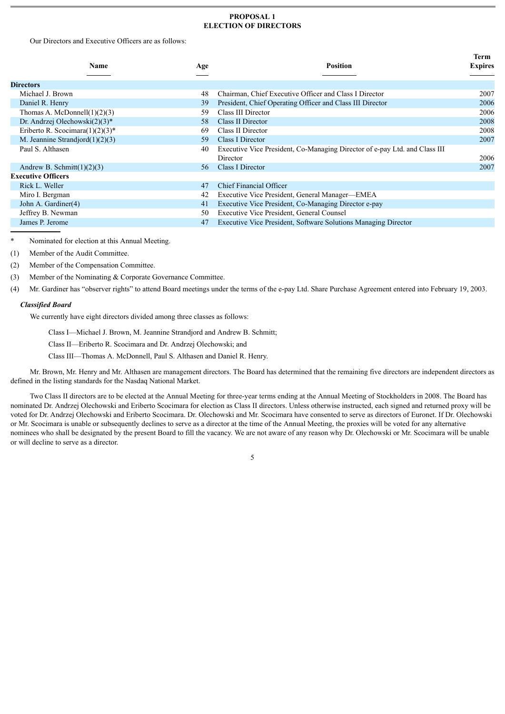# **PROPOSAL 1 ELECTION OF DIRECTORS**

**Term**

Our Directors and Executive Officers are as follows:

| <b>Name</b>                         | Age | <b>Position</b>                                                            | тегии<br><b>Expires</b> |
|-------------------------------------|-----|----------------------------------------------------------------------------|-------------------------|
|                                     |     |                                                                            |                         |
| <b>Directors</b>                    |     |                                                                            |                         |
| Michael J. Brown                    | 48  | Chairman, Chief Executive Officer and Class I Director                     | 2007                    |
| Daniel R. Henry                     | 39  | President, Chief Operating Officer and Class III Director                  | 2006                    |
| Thomas A. McDonnell $(1)(2)(3)$     | 59  | Class III Director                                                         | 2006                    |
| Dr. Andrzej Olechowski $(2)(3)^*$   | .58 | Class II Director                                                          | 2008                    |
| Eriberto R. Scocimara $(1)(2)(3)^*$ | 69  | Class II Director                                                          | 2008                    |
| M. Jeannine Strandjord $(1)(2)(3)$  | 59  | Class I Director                                                           | 2007                    |
| Paul S. Althasen                    | 40  | Executive Vice President, Co-Managing Director of e-pay Ltd. and Class III |                         |
|                                     |     | Director                                                                   | 2006                    |
| Andrew B. Schmitt $(1)(2)(3)$       | 56  | Class I Director                                                           | 2007                    |
| <b>Executive Officers</b>           |     |                                                                            |                         |
| Rick L. Weller                      | 47  | Chief Financial Officer                                                    |                         |
| Miro I. Bergman                     | 42  | Executive Vice President, General Manager-EMEA                             |                         |
| John A. Gardiner(4)                 | 41  | Executive Vice President, Co-Managing Director e-pay                       |                         |
| Jeffrey B. Newman                   | 50  | Executive Vice President, General Counsel                                  |                         |
| James P. Jerome                     | 47  | Executive Vice President, Software Solutions Managing Director             |                         |
|                                     |     |                                                                            |                         |

Nominated for election at this Annual Meeting.

- (1) Member of the Audit Committee.
- (2) Member of the Compensation Committee.
- (3) Member of the Nominating & Corporate Governance Committee.

(4) Mr. Gardiner has "observer rights" to attend Board meetings under the terms of the e-pay Ltd. Share Purchase Agreement entered into February 19, 2003.

# *Classified Board*

We currently have eight directors divided among three classes as follows:

Class I—Michael J. Brown, M. Jeannine Strandjord and Andrew B. Schmitt;

- Class II—Eriberto R. Scocimara and Dr. Andrzej Olechowski; and
- Class III—Thomas A. McDonnell, Paul S. Althasen and Daniel R. Henry.

Mr. Brown, Mr. Henry and Mr. Althasen are management directors. The Board has determined that the remaining five directors are independent directors as defined in the listing standards for the Nasdaq National Market.

Two Class II directors are to be elected at the Annual Meeting for three-year terms ending at the Annual Meeting of Stockholders in 2008. The Board has nominated Dr. Andrzej Olechowski and Eriberto Scocimara for election as Class II directors. Unless otherwise instructed, each signed and returned proxy will be voted for Dr. Andrzej Olechowski and Eriberto Scocimara. Dr. Olechowski and Mr. Scocimara have consented to serve as directors of Euronet. If Dr. Olechowski or Mr. Scocimara is unable or subsequently declines to serve as a director at the time of the Annual Meeting, the proxies will be voted for any alternative nominees who shall be designated by the present Board to fill the vacancy. We are not aware of any reason why Dr. Olechowski or Mr. Scocimara will be unable or will decline to serve as a director.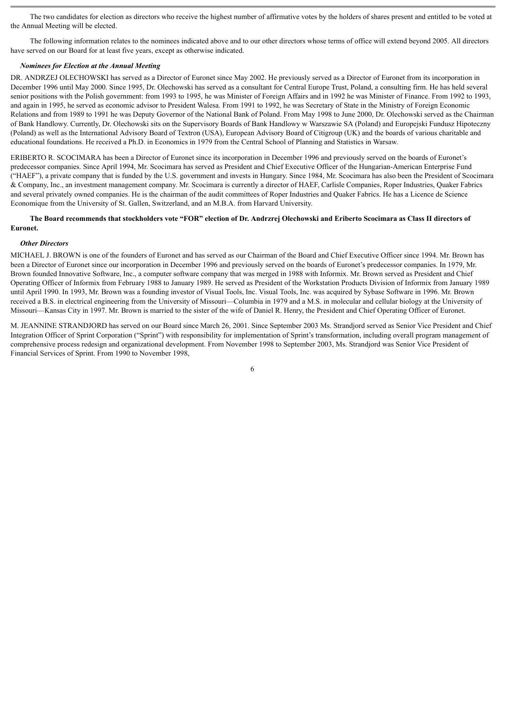The two candidates for election as directors who receive the highest number of affirmative votes by the holders of shares present and entitled to be voted at the Annual Meeting will be elected.

The following information relates to the nominees indicated above and to our other directors whose terms of office will extend beyond 2005. All directors have served on our Board for at least five years, except as otherwise indicated.

## *Nominees for Election at the Annual Meeting*

DR. ANDRZEJ OLECHOWSKI has served as a Director of Euronet since May 2002. He previously served as a Director of Euronet from its incorporation in December 1996 until May 2000. Since 1995, Dr. Olechowski has served as a consultant for Central Europe Trust, Poland, a consulting firm. He has held several senior positions with the Polish government: from 1993 to 1995, he was Minister of Foreign Affairs and in 1992 he was Minister of Finance. From 1992 to 1993, and again in 1995, he served as economic advisor to President Walesa. From 1991 to 1992, he was Secretary of State in the Ministry of Foreign Economic Relations and from 1989 to 1991 he was Deputy Governor of the National Bank of Poland. From May 1998 to June 2000, Dr. Olechowski served as the Chairman of Bank Handlowy. Currently, Dr. Olechowski sits on the Supervisory Boards of Bank Handlowy w Warszawie SA (Poland) and Europejski Fundusz Hipoteczny (Poland) as well as the International Advisory Board of Textron (USA), European Advisory Board of Citigroup (UK) and the boards of various charitable and educational foundations. He received a Ph.D. in Economics in 1979 from the Central School of Planning and Statistics in Warsaw.

ERIBERTO R. SCOCIMARA has been a Director of Euronet since its incorporation in December 1996 and previously served on the boards of Euronet's predecessor companies. Since April 1994, Mr. Scocimara has served as President and Chief Executive Officer of the Hungarian-American Enterprise Fund ("HAEF"), a private company that is funded by the U.S. government and invests in Hungary. Since 1984, Mr. Scocimara has also been the President of Scocimara & Company, Inc., an investment management company. Mr. Scocimara is currently a director of HAEF, Carlisle Companies, Roper Industries, Quaker Fabrics and several privately owned companies. He is the chairman of the audit committees of Roper Industries and Quaker Fabrics. He has a Licence de Science Economique from the University of St. Gallen, Switzerland, and an M.B.A. from Harvard University.

# **The Board recommends that stockholders vote "FOR" election of Dr. Andrzrej Olechowski and Eriberto Scocimara as Class II directors of Euronet.**

## *Other Directors*

MICHAEL J. BROWN is one of the founders of Euronet and has served as our Chairman of the Board and Chief Executive Officer since 1994. Mr. Brown has been a Director of Euronet since our incorporation in December 1996 and previously served on the boards of Euronet's predecessor companies. In 1979, Mr. Brown founded Innovative Software, Inc., a computer software company that was merged in 1988 with Informix. Mr. Brown served as President and Chief Operating Officer of Informix from February 1988 to January 1989. He served as President of the Workstation Products Division of Informix from January 1989 until April 1990. In 1993, Mr. Brown was a founding investor of Visual Tools, Inc. Visual Tools, Inc. was acquired by Sybase Software in 1996. Mr. Brown received a B.S. in electrical engineering from the University of Missouri—Columbia in 1979 and a M.S. in molecular and cellular biology at the University of Missouri—Kansas City in 1997. Mr. Brown is married to the sister of the wife of Daniel R. Henry, the President and Chief Operating Officer of Euronet.

M. JEANNINE STRANDJORD has served on our Board since March 26, 2001. Since September 2003 Ms. Strandjord served as Senior Vice President and Chief Integration Officer of Sprint Corporation ("Sprint") with responsibility for implementation of Sprint's transformation, including overall program management of comprehensive process redesign and organizational development. From November 1998 to September 2003, Ms. Strandjord was Senior Vice President of Financial Services of Sprint. From 1990 to November 1998,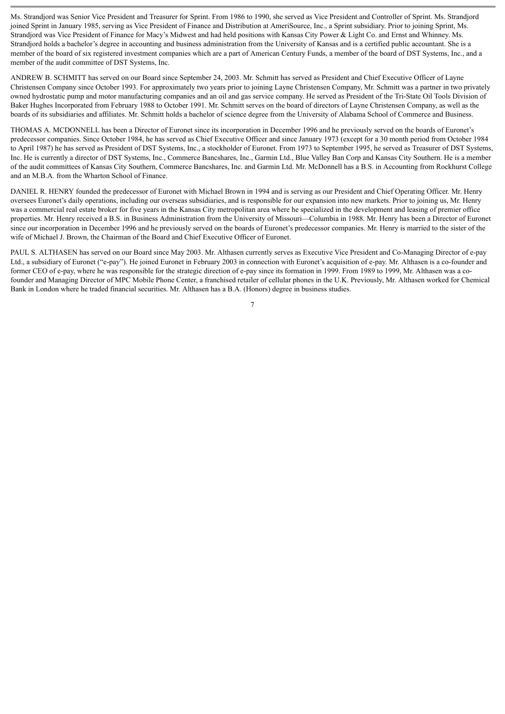Ms. Strandjord was Senior Vice President and Treasurer for Sprint. From 1986 to 1990, she served as Vice President and Controller of Sprint. Ms. Strandjord joined Sprint in January 1985, serving as Vice President of Finance and Distribution at AmeriSource, Inc., a Sprint subsidiary. Prior to joining Sprint, Ms. Strandjord was Vice President of Finance for Macy's Midwest and had held positions with Kansas City Power & Light Co. and Ernst and Whinney. Ms. Strandjord holds a bachelor's degree in accounting and business administration from the University of Kansas and is a certified public accountant. She is a member of the board of six registered investment companies which are a part of American Century Funds, a member of the board of DST Systems, Inc., and a member of the audit committee of DST Systems, Inc.

ANDREW B. SCHMITT has served on our Board since September 24, 2003. Mr. Schmitt has served as President and Chief Executive Officer of Layne Christensen Company since October 1993. For approximately two years prior to joining Layne Christensen Company, Mr. Schmitt was a partner in two privately owned hydrostatic pump and motor manufacturing companies and an oil and gas service company. He served as President of the Tri-State Oil Tools Division of Baker Hughes Incorporated from February 1988 to October 1991. Mr. Schmitt serves on the board of directors of Layne Christensen Company, as well as the boards of its subsidiaries and affiliates. Mr. Schmitt holds a bachelor of science degree from the University of Alabama School of Commerce and Business.

THOMAS A. MCDONNELL has been a Director of Euronet since its incorporation in December 1996 and he previously served on the boards of Euronet's predecessor companies. Since October 1984, he has served as Chief Executive Officer and since January 1973 (except for a 30 month period from October 1984 to April 1987) he has served as President of DST Systems, Inc., a stockholder of Euronet. From 1973 to September 1995, he served as Treasurer of DST Systems, Inc. He is currently a director of DST Systems, Inc., Commerce Bancshares, Inc., Garmin Ltd., Blue Valley Ban Corp and Kansas City Southern. He is a member of the audit committees of Kansas City Southern, Commerce Bancshares, Inc. and Garmin Ltd. Mr. McDonnell has a B.S. in Accounting from Rockhurst College and an M.B.A. from the Wharton School of Finance.

DANIEL R. HENRY founded the predecessor of Euronet with Michael Brown in 1994 and is serving as our President and Chief Operating Officer. Mr. Henry oversees Euronet's daily operations, including our overseas subsidiaries, and is responsible for our expansion into new markets. Prior to joining us, Mr. Henry was a commercial real estate broker for five years in the Kansas City metropolitan area where he specialized in the development and leasing of premier office properties. Mr. Henry received a B.S. in Business Administration from the University of Missouri—Columbia in 1988. Mr. Henry has been a Director of Euronet since our incorporation in December 1996 and he previously served on the boards of Euronet's predecessor companies. Mr. Henry is married to the sister of the wife of Michael J. Brown, the Chairman of the Board and Chief Executive Officer of Euronet.

PAUL S. ALTHASEN has served on our Board since May 2003. Mr. Althasen currently serves as Executive Vice President and Co-Managing Director of e-pay Ltd., a subsidiary of Euronet ("e-pay"). He joined Euronet in February 2003 in connection with Euronet's acquisition of e-pay. Mr. Althasen is a co-founder and former CEO of e-pay, where he was responsible for the strategic direction of e-pay since its formation in 1999. From 1989 to 1999, Mr. Althasen was a cofounder and Managing Director of MPC Mobile Phone Center, a franchised retailer of cellular phones in the U.K. Previously, Mr. Althasen worked for Chemical Bank in London where he traded financial securities. Mr. Althasen has a B.A. (Honors) degree in business studies.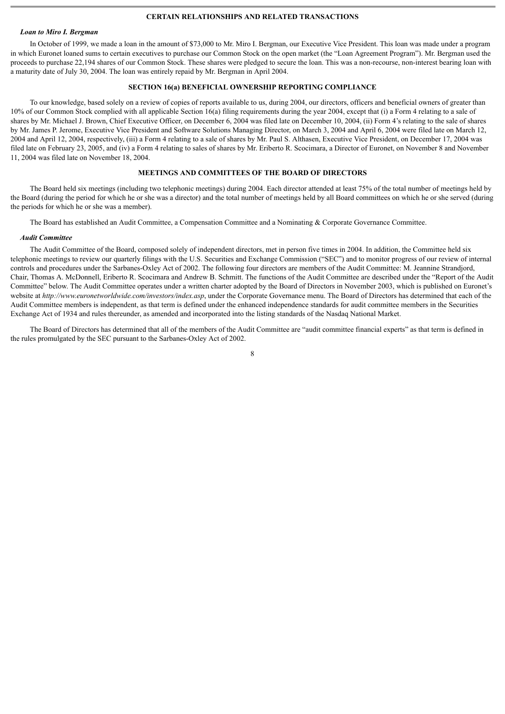# **CERTAIN RELATIONSHIPS AND RELATED TRANSACTIONS**

## *Loan to Miro I. Bergman*

In October of 1999, we made a loan in the amount of \$73,000 to Mr. Miro I. Bergman, our Executive Vice President. This loan was made under a program in which Euronet loaned sums to certain executives to purchase our Common Stock on the open market (the "Loan Agreement Program"). Mr. Bergman used the proceeds to purchase 22,194 shares of our Common Stock. These shares were pledged to secure the loan. This was a non-recourse, non-interest bearing loan with a maturity date of July 30, 2004. The loan was entirely repaid by Mr. Bergman in April 2004.

# **SECTION 16(a) BENEFICIAL OWNERSHIP REPORTING COMPLIANCE**

To our knowledge, based solely on a review of copies of reports available to us, during 2004, our directors, officers and beneficial owners of greater than 10% of our Common Stock complied with all applicable Section 16(a) filing requirements during the year 2004, except that (i) a Form 4 relating to a sale of shares by Mr. Michael J. Brown, Chief Executive Officer, on December 6, 2004 was filed late on December 10, 2004, (ii) Form 4's relating to the sale of shares by Mr. James P. Jerome, Executive Vice President and Software Solutions Managing Director, on March 3, 2004 and April 6, 2004 were filed late on March 12, 2004 and April 12, 2004, respectively, (iii) a Form 4 relating to a sale of shares by Mr. Paul S. Althasen, Executive Vice President, on December 17, 2004 was filed late on February 23, 2005, and (iv) a Form 4 relating to sales of shares by Mr. Eriberto R. Scocimara, a Director of Euronet, on November 8 and November 11, 2004 was filed late on November 18, 2004.

# **MEETINGS AND COMMITTEES OF THE BOARD OF DIRECTORS**

The Board held six meetings (including two telephonic meetings) during 2004. Each director attended at least 75% of the total number of meetings held by the Board (during the period for which he or she was a director) and the total number of meetings held by all Board committees on which he or she served (during the periods for which he or she was a member).

The Board has established an Audit Committee, a Compensation Committee and a Nominating & Corporate Governance Committee.

## *Audit Committee*

The Audit Committee of the Board, composed solely of independent directors, met in person five times in 2004. In addition, the Committee held six telephonic meetings to review our quarterly filings with the U.S. Securities and Exchange Commission ("SEC") and to monitor progress of our review of internal controls and procedures under the Sarbanes-Oxley Act of 2002. The following four directors are members of the Audit Committee: M. Jeannine Strandjord, Chair, Thomas A. McDonnell, Eriberto R. Scocimara and Andrew B. Schmitt. The functions of the Audit Committee are described under the "Report of the Audit Committee" below. The Audit Committee operates under a written charter adopted by the Board of Directors in November 2003, which is published on Euronet's website at *http://www.euronetworldwide.com/investors/index.asp*, under the Corporate Governance menu. The Board of Directors has determined that each of the Audit Committee members is independent, as that term is defined under the enhanced independence standards for audit committee members in the Securities Exchange Act of 1934 and rules thereunder, as amended and incorporated into the listing standards of the Nasdaq National Market.

The Board of Directors has determined that all of the members of the Audit Committee are "audit committee financial experts" as that term is defined in the rules promulgated by the SEC pursuant to the Sarbanes-Oxley Act of 2002.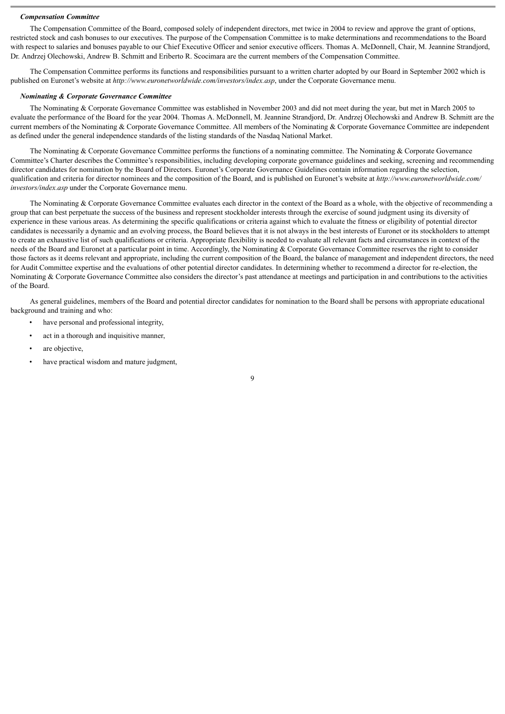#### *Compensation Committee*

The Compensation Committee of the Board, composed solely of independent directors, met twice in 2004 to review and approve the grant of options, restricted stock and cash bonuses to our executives. The purpose of the Compensation Committee is to make determinations and recommendations to the Board with respect to salaries and bonuses payable to our Chief Executive Officer and senior executive officers. Thomas A. McDonnell, Chair, M. Jeannine Strandjord, Dr. Andrzej Olechowski, Andrew B. Schmitt and Eriberto R. Scocimara are the current members of the Compensation Committee.

The Compensation Committee performs its functions and responsibilities pursuant to a written charter adopted by our Board in September 2002 which is published on Euronet's website at *http://www.euronetworldwide.com/investors/index.asp*, under the Corporate Governance menu.

#### *Nominating & Corporate Governance Committee*

The Nominating & Corporate Governance Committee was established in November 2003 and did not meet during the year, but met in March 2005 to evaluate the performance of the Board for the year 2004. Thomas A. McDonnell, M. Jeannine Strandjord, Dr. Andrzej Olechowski and Andrew B. Schmitt are the current members of the Nominating & Corporate Governance Committee. All members of the Nominating & Corporate Governance Committee are independent as defined under the general independence standards of the listing standards of the Nasdaq National Market.

The Nominating & Corporate Governance Committee performs the functions of a nominating committee. The Nominating & Corporate Governance Committee's Charter describes the Committee's responsibilities, including developing corporate governance guidelines and seeking, screening and recommending director candidates for nomination by the Board of Directors. Euronet's Corporate Governance Guidelines contain information regarding the selection, qualification and criteria for director nominees and the composition of the Board, and is published on Euronet's website at *http://www.euronetworldwide.com/ investors/index.asp* under the Corporate Governance menu.

The Nominating & Corporate Governance Committee evaluates each director in the context of the Board as a whole, with the objective of recommending a group that can best perpetuate the success of the business and represent stockholder interests through the exercise of sound judgment using its diversity of experience in these various areas. As determining the specific qualifications or criteria against which to evaluate the fitness or eligibility of potential director candidates is necessarily a dynamic and an evolving process, the Board believes that it is not always in the best interests of Euronet or its stockholders to attempt to create an exhaustive list of such qualifications or criteria. Appropriate flexibility is needed to evaluate all relevant facts and circumstances in context of the needs of the Board and Euronet at a particular point in time. Accordingly, the Nominating & Corporate Governance Committee reserves the right to consider those factors as it deems relevant and appropriate, including the current composition of the Board, the balance of management and independent directors, the need for Audit Committee expertise and the evaluations of other potential director candidates. In determining whether to recommend a director for re-election, the Nominating  $&$  Corporate Governance Committee also considers the director's past attendance at meetings and participation in and contributions to the activities of the Board.

As general guidelines, members of the Board and potential director candidates for nomination to the Board shall be persons with appropriate educational background and training and who:

- have personal and professional integrity,
- act in a thorough and inquisitive manner,
- are objective,
- have practical wisdom and mature judgment,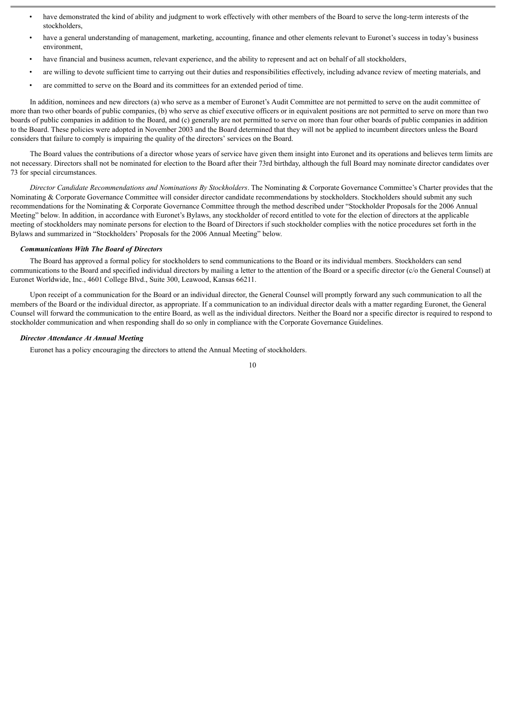- have demonstrated the kind of ability and judgment to work effectively with other members of the Board to serve the long-term interests of the stockholders,
- have a general understanding of management, marketing, accounting, finance and other elements relevant to Euronet's success in today's business environment,
- have financial and business acumen, relevant experience, and the ability to represent and act on behalf of all stockholders,
- are willing to devote sufficient time to carrying out their duties and responsibilities effectively, including advance review of meeting materials, and
- are committed to serve on the Board and its committees for an extended period of time.

In addition, nominees and new directors (a) who serve as a member of Euronet's Audit Committee are not permitted to serve on the audit committee of more than two other boards of public companies, (b) who serve as chief executive officers or in equivalent positions are not permitted to serve on more than two boards of public companies in addition to the Board, and (c) generally are not permitted to serve on more than four other boards of public companies in addition to the Board. These policies were adopted in November 2003 and the Board determined that they will not be applied to incumbent directors unless the Board considers that failure to comply is impairing the quality of the directors' services on the Board.

The Board values the contributions of a director whose years of service have given them insight into Euronet and its operations and believes term limits are not necessary. Directors shall not be nominated for election to the Board after their 73rd birthday, although the full Board may nominate director candidates over 73 for special circumstances.

*Director Candidate Recommendations and Nominations By Stockholders*. The Nominating & Corporate Governance Committee's Charter provides that the Nominating & Corporate Governance Committee will consider director candidate recommendations by stockholders. Stockholders should submit any such recommendations for the Nominating & Corporate Governance Committee through the method described under "Stockholder Proposals for the 2006 Annual Meeting" below. In addition, in accordance with Euronet's Bylaws, any stockholder of record entitled to vote for the election of directors at the applicable meeting of stockholders may nominate persons for election to the Board of Directors if such stockholder complies with the notice procedures set forth in the Bylaws and summarized in "Stockholders' Proposals for the 2006 Annual Meeting" below.

#### *Communications With The Board of Directors*

The Board has approved a formal policy for stockholders to send communications to the Board or its individual members. Stockholders can send communications to the Board and specified individual directors by mailing a letter to the attention of the Board or a specific director (c/o the General Counsel) at Euronet Worldwide, Inc., 4601 College Blvd., Suite 300, Leawood, Kansas 66211.

Upon receipt of a communication for the Board or an individual director, the General Counsel will promptly forward any such communication to all the members of the Board or the individual director, as appropriate. If a communication to an individual director deals with a matter regarding Euronet, the General Counsel will forward the communication to the entire Board, as well as the individual directors. Neither the Board nor a specific director is required to respond to stockholder communication and when responding shall do so only in compliance with the Corporate Governance Guidelines.

# *Director Attendance At Annual Meeting*

Euronet has a policy encouraging the directors to attend the Annual Meeting of stockholders.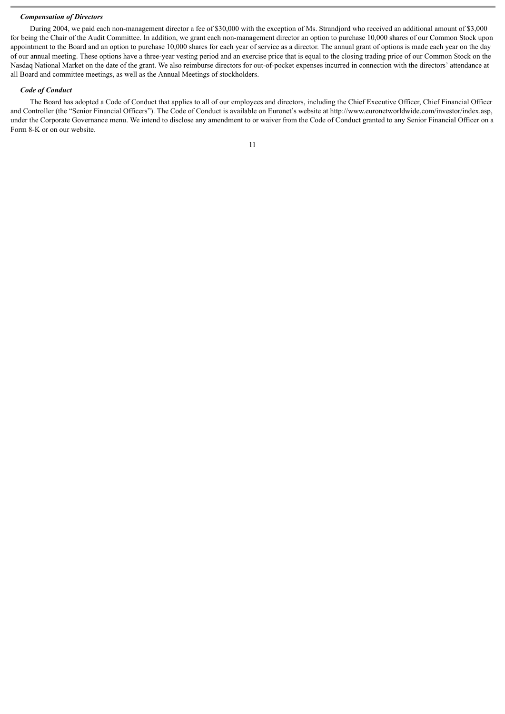### *Compensation of Directors*

During 2004, we paid each non-management director a fee of \$30,000 with the exception of Ms. Strandjord who received an additional amount of \$3,000 for being the Chair of the Audit Committee. In addition, we grant each non-management director an option to purchase 10,000 shares of our Common Stock upon appointment to the Board and an option to purchase 10,000 shares for each year of service as a director. The annual grant of options is made each year on the day of our annual meeting. These options have a three-year vesting period and an exercise price that is equal to the closing trading price of our Common Stock on the Nasdaq National Market on the date of the grant. We also reimburse directors for out-of-pocket expenses incurred in connection with the directors' attendance at all Board and committee meetings, as well as the Annual Meetings of stockholders.

#### *Code of Conduct*

The Board has adopted a Code of Conduct that applies to all of our employees and directors, including the Chief Executive Officer, Chief Financial Officer and Controller (the "Senior Financial Officers"). The Code of Conduct is available on Euronet's website at http://www.euronetworldwide.com/investor/index.asp, under the Corporate Governance menu. We intend to disclose any amendment to or waiver from the Code of Conduct granted to any Senior Financial Officer on a Form 8-K or on our website.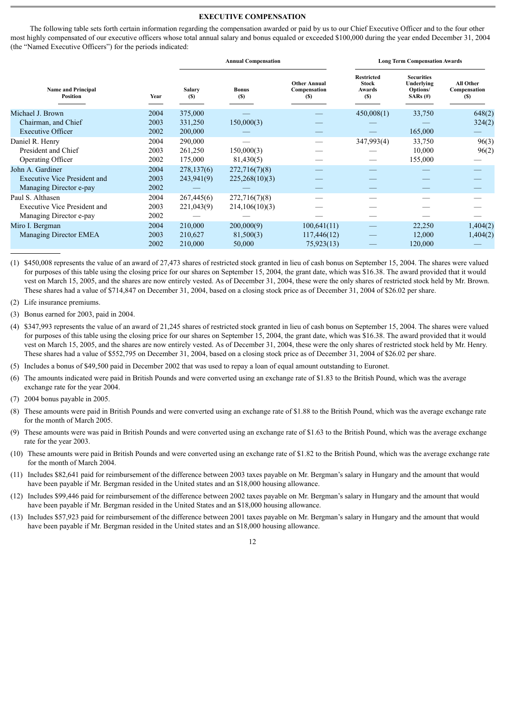### **EXECUTIVE COMPENSATION**

The following table sets forth certain information regarding the compensation awarded or paid by us to our Chief Executive Officer and to the four other most highly compensated of our executive officers whose total annual salary and bonus equaled or exceeded \$100,000 during the year ended December 31, 2004 (the "Named Executive Officers") for the periods indicated:

|                                              |      |                      | <b>Annual Compensation</b> |                                            | <b>Long Term Compensation Awards</b>               |                                                           |                                         |  |
|----------------------------------------------|------|----------------------|----------------------------|--------------------------------------------|----------------------------------------------------|-----------------------------------------------------------|-----------------------------------------|--|
| <b>Name and Principal</b><br><b>Position</b> | Year | <b>Salary</b><br>(S) | <b>Bonus</b><br>(S)        | <b>Other Annual</b><br>Compensation<br>(S) | <b>Restricted</b><br><b>Stock</b><br>Awards<br>(S) | <b>Securities</b><br>Underlying<br>Options/<br>$SARS$ (#) | <b>All Other</b><br>Compensation<br>(S) |  |
| Michael J. Brown                             | 2004 | 375,000              |                            |                                            | 450,008(1)                                         | 33,750                                                    | 648(2)                                  |  |
| Chairman, and Chief                          | 2003 | 331,250              | 150,000(3)                 |                                            |                                                    |                                                           | 324(2)                                  |  |
| <b>Executive Officer</b>                     | 2002 | 200,000              |                            |                                            |                                                    | 165,000                                                   |                                         |  |
| Daniel R. Henry                              | 2004 | 290,000              |                            |                                            | 347,993(4)                                         | 33,750                                                    | 96(3)                                   |  |
| President and Chief                          | 2003 | 261,250              | 150,000(3)                 |                                            |                                                    | 10,000                                                    | 96(2)                                   |  |
| Operating Officer                            | 2002 | 175,000              | 81,430(5)                  |                                            |                                                    | 155,000                                                   |                                         |  |
| John A. Gardiner                             | 2004 | 278,137(6)           | 272,716(7)(8)              |                                            |                                                    |                                                           |                                         |  |
| <b>Executive Vice President and</b>          | 2003 | 243,941(9)           | 225,268(10)(3)             |                                            |                                                    |                                                           |                                         |  |
| Managing Director e-pay                      | 2002 |                      |                            |                                            |                                                    |                                                           |                                         |  |
| Paul S. Althasen                             | 2004 | 267,445(6)           | 272,716(7)(8)              |                                            |                                                    |                                                           |                                         |  |
| Executive Vice President and                 | 2003 | 221,043(9)           | 214,106(10)(3)             |                                            |                                                    |                                                           |                                         |  |
| Managing Director e-pay                      | 2002 |                      |                            |                                            |                                                    |                                                           |                                         |  |
| Miro I. Bergman                              | 2004 | 210,000              | 200,000(9)                 | 100,641(11)                                |                                                    | 22,250                                                    | 1,404(2)                                |  |
| Managing Director EMEA                       | 2003 | 210,627              | 81,500(3)                  | 117,446(12)                                |                                                    | 12,000                                                    | 1,404(2)                                |  |
|                                              | 2002 | 210,000              | 50,000                     | 75,923(13)                                 |                                                    | 120,000                                                   |                                         |  |
|                                              |      |                      |                            |                                            |                                                    |                                                           |                                         |  |

(1) \$450,008 represents the value of an award of 27,473 shares of restricted stock granted in lieu of cash bonus on September 15, 2004. The shares were valued for purposes of this table using the closing price for our shares on September 15, 2004, the grant date, which was \$16.38. The award provided that it would vest on March 15, 2005, and the shares are now entirely vested. As of December 31, 2004, these were the only shares of restricted stock held by Mr. Brown. These shares had a value of \$714,847 on December 31, 2004, based on a closing stock price as of December 31, 2004 of \$26.02 per share.

(2) Life insurance premiums.

(3) Bonus earned for 2003, paid in 2004.

(4) \$347,993 represents the value of an award of 21,245 shares of restricted stock granted in lieu of cash bonus on September 15, 2004. The shares were valued for purposes of this table using the closing price for our shares on September 15, 2004, the grant date, which was \$16.38. The award provided that it would vest on March 15, 2005, and the shares are now entirely vested. As of December 31, 2004, these were the only shares of restricted stock held by Mr. Henry. These shares had a value of \$552,795 on December 31, 2004, based on a closing stock price as of December 31, 2004 of \$26.02 per share.

(5) Includes a bonus of \$49,500 paid in December 2002 that was used to repay a loan of equal amount outstanding to Euronet.

- (6) The amounts indicated were paid in British Pounds and were converted using an exchange rate of \$1.83 to the British Pound, which was the average exchange rate for the year 2004.
- (7) 2004 bonus payable in 2005.
- (8) These amounts were paid in British Pounds and were converted using an exchange rate of \$1.88 to the British Pound, which was the average exchange rate for the month of March 2005.
- (9) These amounts were was paid in British Pounds and were converted using an exchange rate of \$1.63 to the British Pound, which was the average exchange rate for the year 2003.
- (10) These amounts were paid in British Pounds and were converted using an exchange rate of \$1.82 to the British Pound, which was the average exchange rate for the month of March 2004.
- (11) Includes \$82,641 paid for reimbursement of the difference between 2003 taxes payable on Mr. Bergman's salary in Hungary and the amount that would have been payable if Mr. Bergman resided in the United states and an \$18,000 housing allowance.
- (12) Includes \$99,446 paid for reimbursement of the difference between 2002 taxes payable on Mr. Bergman's salary in Hungary and the amount that would have been payable if Mr. Bergman resided in the United States and an \$18,000 housing allowance.
- (13) Includes \$57,923 paid for reimbursement of the difference between 2001 taxes payable on Mr. Bergman's salary in Hungary and the amount that would have been payable if Mr. Bergman resided in the United states and an \$18,000 housing allowance.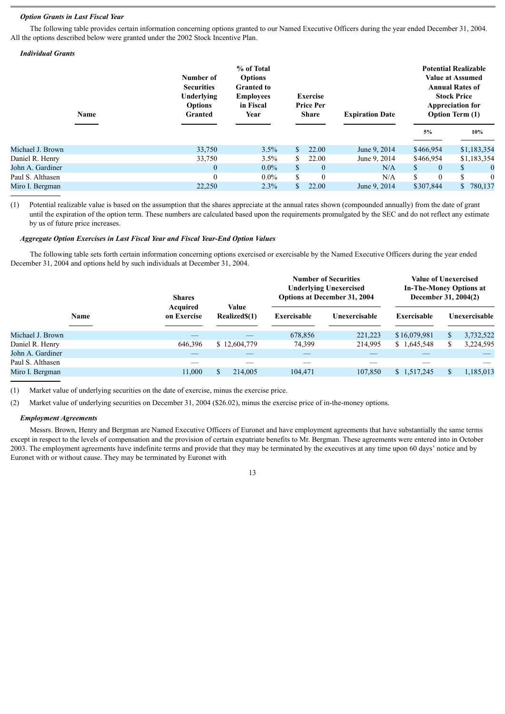#### *Option Grants in Last Fiscal Year*

The following table provides certain information concerning options granted to our Named Executive Officers during the year ended December 31, 2004. All the options described below were granted under the 2002 Stock Incentive Plan.

# *Individual Grants*

|                  | Name | Number of<br><b>Securities</b><br>Underlying<br><b>Options</b><br><b>Granted</b> | % of Total<br><b>Options</b><br><b>Granted to</b><br><b>Employees</b><br>in Fiscal<br>Year |              | <b>Exercise</b><br><b>Price Per</b><br><b>Share</b> | <b>Expiration Date</b> |              | <b>Potential Realizable</b><br><b>Value at Assumed</b><br><b>Annual Rates of</b><br><b>Stock Price</b><br><b>Appreciation for</b><br><b>Option Term (1)</b> |    |             |  |
|------------------|------|----------------------------------------------------------------------------------|--------------------------------------------------------------------------------------------|--------------|-----------------------------------------------------|------------------------|--------------|-------------------------------------------------------------------------------------------------------------------------------------------------------------|----|-------------|--|
|                  |      |                                                                                  |                                                                                            |              |                                                     |                        |              | 5%                                                                                                                                                          |    | 10%         |  |
| Michael J. Brown |      | 33,750                                                                           | 3.5%                                                                                       | \$           | 22.00                                               | June 9, 2014           |              | \$466,954                                                                                                                                                   |    | \$1,183,354 |  |
| Daniel R. Henry  |      | 33,750                                                                           | $3.5\%$                                                                                    | \$.          | 22.00                                               | June 9, 2014           |              | \$466,954                                                                                                                                                   |    | \$1,183,354 |  |
| John A. Gardiner |      | $\mathbf{0}$                                                                     | $0.0\%$                                                                                    | $\mathbb{S}$ | $\mathbf{0}$                                        | N/A                    | $\mathbb{S}$ | $\overline{0}$                                                                                                                                              | \$ | $\bf{0}$    |  |
| Paul S. Althasen |      | $\theta$                                                                         | $0.0\%$                                                                                    | \$           | $\theta$                                            | N/A                    | \$.          | $\theta$                                                                                                                                                    | S  | $\theta$    |  |
| Miro I. Bergman  |      | 22,250                                                                           | 2.3%                                                                                       |              | 22.00                                               | June 9, 2014           |              | \$307,844                                                                                                                                                   | \$ | 780,137     |  |
|                  |      |                                                                                  |                                                                                            |              |                                                     |                        |              |                                                                                                                                                             |    |             |  |

(1) Potential realizable value is based on the assumption that the shares appreciate at the annual rates shown (compounded annually) from the date of grant until the expiration of the option term. These numbers are calculated based upon the requirements promulgated by the SEC and do not reflect any estimate by us of future price increases.

#### *Aggregate Option Exercises in Last Fiscal Year and Fiscal Year-End Option Values*

The following table sets forth certain information concerning options exercised or exercisable by the Named Executive Officers during the year ended December 31, 2004 and options held by such individuals at December 31, 2004.

|                  |             |                                | <b>Value</b>  | <b>Number of Securities</b><br><b>Underlying Unexercised</b><br><b>Options at December 31, 2004</b> |               | <b>Value of Unexercised</b><br><b>In-The-Money Options at</b><br>December 31, 2004(2) |  |               |
|------------------|-------------|--------------------------------|---------------|-----------------------------------------------------------------------------------------------------|---------------|---------------------------------------------------------------------------------------|--|---------------|
|                  | <b>Name</b> | <b>Acquired</b><br>on Exercise | Realized\$(1) | Exercisable                                                                                         | Unexercisable | Exercisable                                                                           |  | Unexercisable |
| Michael J. Brown |             |                                |               | 678,856                                                                                             | 221,223       | \$16,079,981                                                                          |  | 3,732,522     |
| Daniel R. Henry  |             | 646,396                        | \$12,604,779  | 74,399                                                                                              | 214,995       | \$1,645,548                                                                           |  | 3,224,595     |
| John A. Gardiner |             |                                |               |                                                                                                     |               |                                                                                       |  |               |
| Paul S. Althasen |             |                                |               |                                                                                                     |               |                                                                                       |  |               |
| Miro I. Bergman  |             | 11,000                         | 214,005       | 104,471                                                                                             | 107,850       | \$1,517,245                                                                           |  | 1,185,013     |

(1) Market value of underlying securities on the date of exercise, minus the exercise price.

(2) Market value of underlying securities on December 31, 2004 (\$26.02), minus the exercise price of in-the-money options.

#### *Employment Agreements*

Messrs. Brown, Henry and Bergman are Named Executive Officers of Euronet and have employment agreements that have substantially the same terms except in respect to the levels of compensation and the provision of certain expatriate benefits to Mr. Bergman. These agreements were entered into in October 2003. The employment agreements have indefinite terms and provide that they may be terminated by the executives at any time upon 60 days' notice and by Euronet with or without cause. They may be terminated by Euronet with

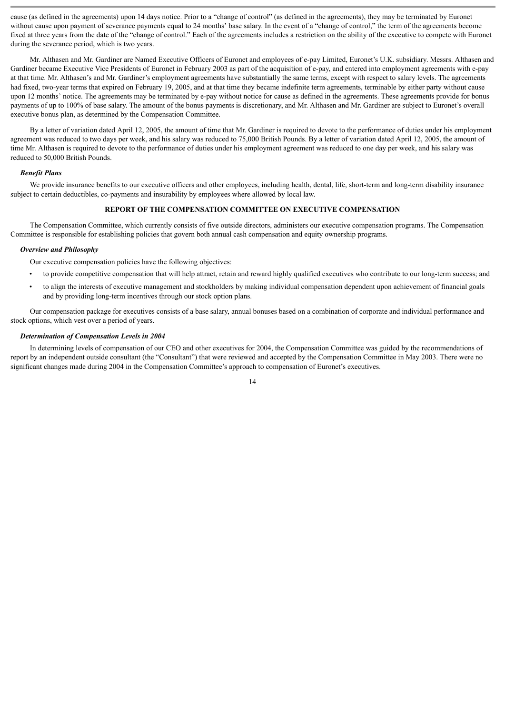cause (as defined in the agreements) upon 14 days notice. Prior to a "change of control" (as defined in the agreements), they may be terminated by Euronet without cause upon payment of severance payments equal to 24 months' base salary. In the event of a "change of control," the term of the agreements become fixed at three years from the date of the "change of control." Each of the agreements includes a restriction on the ability of the executive to compete with Euronet during the severance period, which is two years.

Mr. Althasen and Mr. Gardiner are Named Executive Officers of Euronet and employees of e-pay Limited, Euronet's U.K. subsidiary. Messrs. Althasen and Gardiner became Executive Vice Presidents of Euronet in February 2003 as part of the acquisition of e-pay, and entered into employment agreements with e-pay at that time. Mr. Althasen's and Mr. Gardiner's employment agreements have substantially the same terms, except with respect to salary levels. The agreements had fixed, two-year terms that expired on February 19, 2005, and at that time they became indefinite term agreements, terminable by either party without cause upon 12 months' notice. The agreements may be terminated by e-pay without notice for cause as defined in the agreements. These agreements provide for bonus payments of up to 100% of base salary. The amount of the bonus payments is discretionary, and Mr. Althasen and Mr. Gardiner are subject to Euronet's overall executive bonus plan, as determined by the Compensation Committee.

By a letter of variation dated April 12, 2005, the amount of time that Mr. Gardiner is required to devote to the performance of duties under his employment agreement was reduced to two days per week, and his salary was reduced to 75,000 British Pounds. By a letter of variation dated April 12, 2005, the amount of time Mr. Althasen is required to devote to the performance of duties under his employment agreement was reduced to one day per week, and his salary was reduced to 50,000 British Pounds.

# *Benefit Plans*

We provide insurance benefits to our executive officers and other employees, including health, dental, life, short-term and long-term disability insurance subject to certain deductibles, co-payments and insurability by employees where allowed by local law.

# **REPORT OF THE COMPENSATION COMMITTEE ON EXECUTIVE COMPENSATION**

The Compensation Committee, which currently consists of five outside directors, administers our executive compensation programs. The Compensation Committee is responsible for establishing policies that govern both annual cash compensation and equity ownership programs.

#### *Overview and Philosophy*

Our executive compensation policies have the following objectives:

- to provide competitive compensation that will help attract, retain and reward highly qualified executives who contribute to our long-term success; and
- to align the interests of executive management and stockholders by making individual compensation dependent upon achievement of financial goals and by providing long-term incentives through our stock option plans.

Our compensation package for executives consists of a base salary, annual bonuses based on a combination of corporate and individual performance and stock options, which vest over a period of years.

#### *Determination of Compensation Levels in 2004*

In determining levels of compensation of our CEO and other executives for 2004, the Compensation Committee was guided by the recommendations of report by an independent outside consultant (the "Consultant") that were reviewed and accepted by the Compensation Committee in May 2003. There were no significant changes made during 2004 in the Compensation Committee's approach to compensation of Euronet's executives.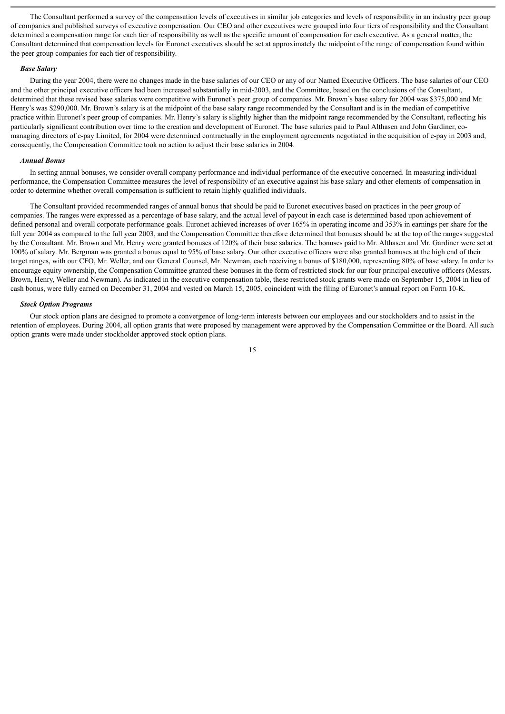The Consultant performed a survey of the compensation levels of executives in similar job categories and levels of responsibility in an industry peer group of companies and published surveys of executive compensation. Our CEO and other executives were grouped into four tiers of responsibility and the Consultant determined a compensation range for each tier of responsibility as well as the specific amount of compensation for each executive. As a general matter, the Consultant determined that compensation levels for Euronet executives should be set at approximately the midpoint of the range of compensation found within the peer group companies for each tier of responsibility.

## *Base Salary*

During the year 2004, there were no changes made in the base salaries of our CEO or any of our Named Executive Officers. The base salaries of our CEO and the other principal executive officers had been increased substantially in mid-2003, and the Committee, based on the conclusions of the Consultant, determined that these revised base salaries were competitive with Euronet's peer group of companies. Mr. Brown's base salary for 2004 was \$375,000 and Mr. Henry's was \$290,000. Mr. Brown's salary is at the midpoint of the base salary range recommended by the Consultant and is in the median of competitive practice within Euronet's peer group of companies. Mr. Henry's salary is slightly higher than the midpoint range recommended by the Consultant, reflecting his particularly significant contribution over time to the creation and development of Euronet. The base salaries paid to Paul Althasen and John Gardiner, comanaging directors of e-pay Limited, for 2004 were determined contractually in the employment agreements negotiated in the acquisition of e-pay in 2003 and, consequently, the Compensation Committee took no action to adjust their base salaries in 2004.

#### *Annual Bonus*

In setting annual bonuses, we consider overall company performance and individual performance of the executive concerned. In measuring individual performance, the Compensation Committee measures the level of responsibility of an executive against his base salary and other elements of compensation in order to determine whether overall compensation is sufficient to retain highly qualified individuals.

The Consultant provided recommended ranges of annual bonus that should be paid to Euronet executives based on practices in the peer group of companies. The ranges were expressed as a percentage of base salary, and the actual level of payout in each case is determined based upon achievement of defined personal and overall corporate performance goals. Euronet achieved increases of over 165% in operating income and 353% in earnings per share for the full year 2004 as compared to the full year 2003, and the Compensation Committee therefore determined that bonuses should be at the top of the ranges suggested by the Consultant. Mr. Brown and Mr. Henry were granted bonuses of 120% of their base salaries. The bonuses paid to Mr. Althasen and Mr. Gardiner were set at 100% of salary. Mr. Bergman was granted a bonus equal to 95% of base salary. Our other executive officers were also granted bonuses at the high end of their target ranges, with our CFO, Mr. Weller, and our General Counsel, Mr. Newman, each receiving a bonus of \$180,000, representing 80% of base salary. In order to encourage equity ownership, the Compensation Committee granted these bonuses in the form of restricted stock for our four principal executive officers (Messrs. Brown, Henry, Weller and Newman). As indicated in the executive compensation table, these restricted stock grants were made on September 15, 2004 in lieu of cash bonus, were fully earned on December 31, 2004 and vested on March 15, 2005, coincident with the filing of Euronet's annual report on Form 10-K.

#### *Stock Option Programs*

Our stock option plans are designed to promote a convergence of long-term interests between our employees and our stockholders and to assist in the retention of employees. During 2004, all option grants that were proposed by management were approved by the Compensation Committee or the Board. All such option grants were made under stockholder approved stock option plans.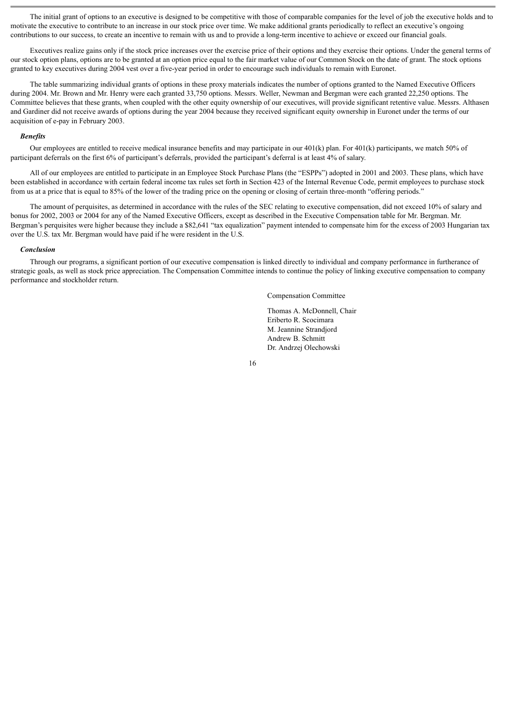The initial grant of options to an executive is designed to be competitive with those of comparable companies for the level of job the executive holds and to motivate the executive to contribute to an increase in our stock price over time. We make additional grants periodically to reflect an executive's ongoing contributions to our success, to create an incentive to remain with us and to provide a long-term incentive to achieve or exceed our financial goals.

Executives realize gains only if the stock price increases over the exercise price of their options and they exercise their options. Under the general terms of our stock option plans, options are to be granted at an option price equal to the fair market value of our Common Stock on the date of grant. The stock options granted to key executives during 2004 vest over a five-year period in order to encourage such individuals to remain with Euronet.

The table summarizing individual grants of options in these proxy materials indicates the number of options granted to the Named Executive Officers during 2004. Mr. Brown and Mr. Henry were each granted 33,750 options. Messrs. Weller, Newman and Bergman were each granted 22,250 options. The Committee believes that these grants, when coupled with the other equity ownership of our executives, will provide significant retentive value. Messrs. Althasen and Gardiner did not receive awards of options during the year 2004 because they received significant equity ownership in Euronet under the terms of our acquisition of e-pay in February 2003.

# *Benefits*

Our employees are entitled to receive medical insurance benefits and may participate in our  $401(k)$  plan. For  $401(k)$  participants, we match 50% of participant deferrals on the first 6% of participant's deferrals, provided the participant's deferral is at least 4% of salary.

All of our employees are entitled to participate in an Employee Stock Purchase Plans (the "ESPPs") adopted in 2001 and 2003. These plans, which have been established in accordance with certain federal income tax rules set forth in Section 423 of the Internal Revenue Code, permit employees to purchase stock from us at a price that is equal to 85% of the lower of the trading price on the opening or closing of certain three-month "offering periods."

The amount of perquisites, as determined in accordance with the rules of the SEC relating to executive compensation, did not exceed 10% of salary and bonus for 2002, 2003 or 2004 for any of the Named Executive Officers, except as described in the Executive Compensation table for Mr. Bergman. Mr. Bergman's perquisites were higher because they include a \$82,641 "tax equalization" payment intended to compensate him for the excess of 2003 Hungarian tax over the U.S. tax Mr. Bergman would have paid if he were resident in the U.S.

#### *Conclusion*

Through our programs, a significant portion of our executive compensation is linked directly to individual and company performance in furtherance of strategic goals, as well as stock price appreciation. The Compensation Committee intends to continue the policy of linking executive compensation to company performance and stockholder return.

Compensation Committee

Thomas A. McDonnell, Chair Eriberto R. Scocimara M. Jeannine Strandjord Andrew B. Schmitt Dr. Andrzej Olechowski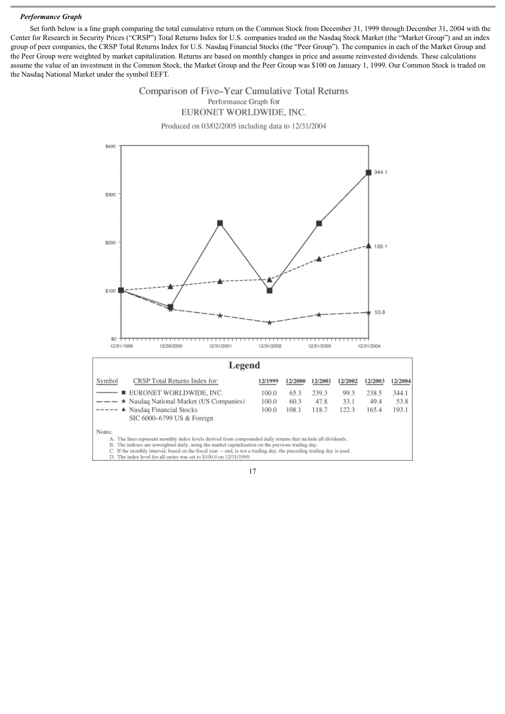# *Performance Graph*

Set forth below is a line graph comparing the total cumulative return on the Common Stock from December 31, 1999 through December 31, 2004 with the Center for Research in Security Prices ("CRSP") Total Returns Index for U.S. companies traded on the Nasdaq Stock Market (the "Market Group") and an index group of peer companies, the CRSP Total Returns Index for U.S. Nasdaq Financial Stocks (the "Peer Group"). The companies in each of the Market Group and the Peer Group were weighted by market capitalization. Returns are based on monthly changes in price and assume reinvested dividends. These calculations assume the value of an investment in the Common Stock, the Market Group and the Peer Group was \$100 on January 1, 1999. Our Common Stock is traded on the Nasdaq National Market under the symbol EEFT.

# Comparison of Five-Year Cumulative Total Returns Performance Graph for EURONET WORLDWIDE, INC.

Produced on 03/02/2005 including data to 12/31/2004

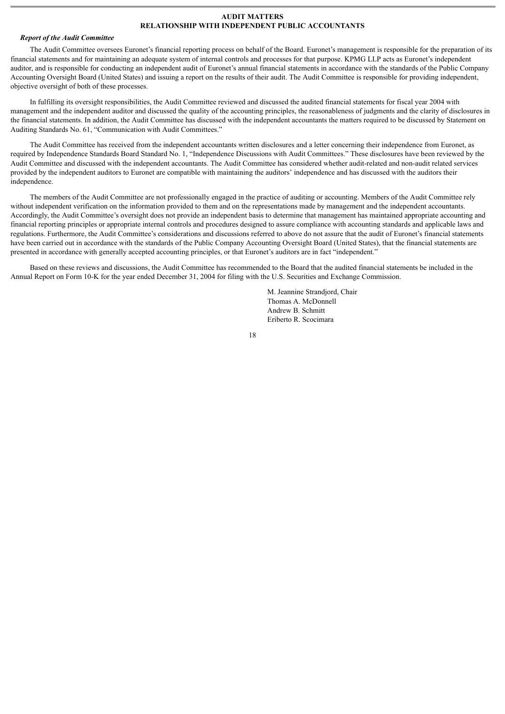## **AUDIT MATTERS RELATIONSHIP WITH INDEPENDENT PUBLIC ACCOUNTANTS**

#### *Report of the Audit Committee*

The Audit Committee oversees Euronet's financial reporting process on behalf of the Board. Euronet's management is responsible for the preparation of its financial statements and for maintaining an adequate system of internal controls and processes for that purpose. KPMG LLP acts as Euronet's independent auditor, and is responsible for conducting an independent audit of Euronet's annual financial statements in accordance with the standards of the Public Company Accounting Oversight Board (United States) and issuing a report on the results of their audit. The Audit Committee is responsible for providing independent, objective oversight of both of these processes.

In fulfilling its oversight responsibilities, the Audit Committee reviewed and discussed the audited financial statements for fiscal year 2004 with management and the independent auditor and discussed the quality of the accounting principles, the reasonableness of judgments and the clarity of disclosures in the financial statements. In addition, the Audit Committee has discussed with the independent accountants the matters required to be discussed by Statement on Auditing Standards No. 61, "Communication with Audit Committees."

The Audit Committee has received from the independent accountants written disclosures and a letter concerning their independence from Euronet, as required by Independence Standards Board Standard No. 1, "Independence Discussions with Audit Committees." These disclosures have been reviewed by the Audit Committee and discussed with the independent accountants. The Audit Committee has considered whether audit-related and non-audit related services provided by the independent auditors to Euronet are compatible with maintaining the auditors' independence and has discussed with the auditors their independence.

The members of the Audit Committee are not professionally engaged in the practice of auditing or accounting. Members of the Audit Committee rely without independent verification on the information provided to them and on the representations made by management and the independent accountants. Accordingly, the Audit Committee's oversight does not provide an independent basis to determine that management has maintained appropriate accounting and financial reporting principles or appropriate internal controls and procedures designed to assure compliance with accounting standards and applicable laws and regulations. Furthermore, the Audit Committee's considerations and discussions referred to above do not assure that the audit of Euronet's financial statements have been carried out in accordance with the standards of the Public Company Accounting Oversight Board (United States), that the financial statements are presented in accordance with generally accepted accounting principles, or that Euronet's auditors are in fact "independent."

Based on these reviews and discussions, the Audit Committee has recommended to the Board that the audited financial statements be included in the Annual Report on Form 10-K for the year ended December 31, 2004 for filing with the U.S. Securities and Exchange Commission.

> M. Jeannine Strandjord, Chair Thomas A. McDonnell Andrew B. Schmitt Eriberto R. Scocimara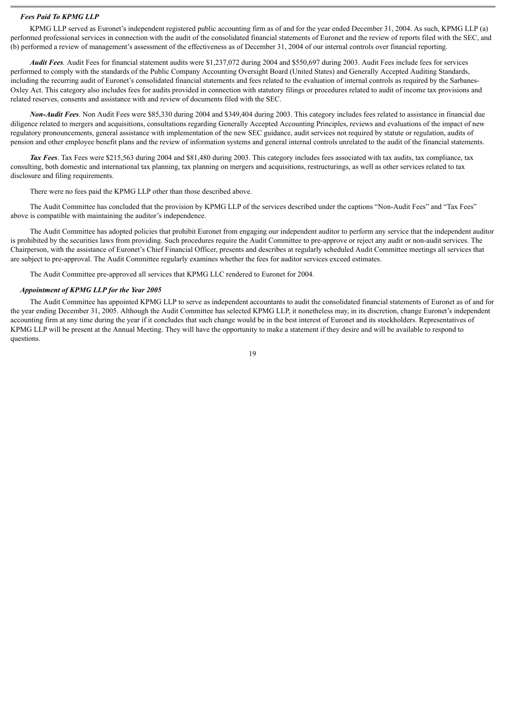#### *Fees Paid To KPMG LLP*

KPMG LLP served as Euronet's independent registered public accounting firm as of and for the year ended December 31, 2004. As such, KPMG LLP (a) performed professional services in connection with the audit of the consolidated financial statements of Euronet and the review of reports filed with the SEC, and (b) performed a review of management's assessment of the effectiveness as of December 31, 2004 of our internal controls over financial reporting.

*Audit Fees.* Audit Fees for financial statement audits were \$1,237,072 during 2004 and \$550,697 during 2003. Audit Fees include fees for services performed to comply with the standards of the Public Company Accounting Oversight Board (United States) and Generally Accepted Auditing Standards, including the recurring audit of Euronet's consolidated financial statements and fees related to the evaluation of internal controls as required by the Sarbanes-Oxley Act. This category also includes fees for audits provided in connection with statutory filings or procedures related to audit of income tax provisions and related reserves, consents and assistance with and review of documents filed with the SEC.

*Non-Audit Fees*. Non Audit Fees were \$85,330 during 2004 and \$349,404 during 2003. This category includes fees related to assistance in financial due diligence related to mergers and acquisitions, consultations regarding Generally Accepted Accounting Principles, reviews and evaluations of the impact of new regulatory pronouncements, general assistance with implementation of the new SEC guidance, audit services not required by statute or regulation, audits of pension and other employee benefit plans and the review of information systems and general internal controls unrelated to the audit of the financial statements.

*Tax Fees*. Tax Fees were \$215,563 during 2004 and \$81,480 during 2003. This category includes fees associated with tax audits, tax compliance, tax consulting, both domestic and international tax planning, tax planning on mergers and acquisitions, restructurings, as well as other services related to tax disclosure and filing requirements.

There were no fees paid the KPMG LLP other than those described above.

The Audit Committee has concluded that the provision by KPMG LLP of the services described under the captions "Non-Audit Fees" and "Tax Fees" above is compatible with maintaining the auditor's independence.

The Audit Committee has adopted policies that prohibit Euronet from engaging our independent auditor to perform any service that the independent auditor is prohibited by the securities laws from providing. Such procedures require the Audit Committee to pre-approve or reject any audit or non-audit services. The Chairperson, with the assistance of Euronet's Chief Financial Officer, presents and describes at regularly scheduled Audit Committee meetings all services that are subject to pre-approval. The Audit Committee regularly examines whether the fees for auditor services exceed estimates.

The Audit Committee pre-approved all services that KPMG LLC rendered to Euronet for 2004.

#### *Appointment of KPMG LLP for the Year 2005*

The Audit Committee has appointed KPMG LLP to serve as independent accountants to audit the consolidated financial statements of Euronet as of and for the year ending December 31, 2005. Although the Audit Committee has selected KPMG LLP, it nonetheless may, in its discretion, change Euronet's independent accounting firm at any time during the year if it concludes that such change would be in the best interest of Euronet and its stockholders. Representatives of KPMG LLP will be present at the Annual Meeting. They will have the opportunity to make a statement if they desire and will be available to respond to questions.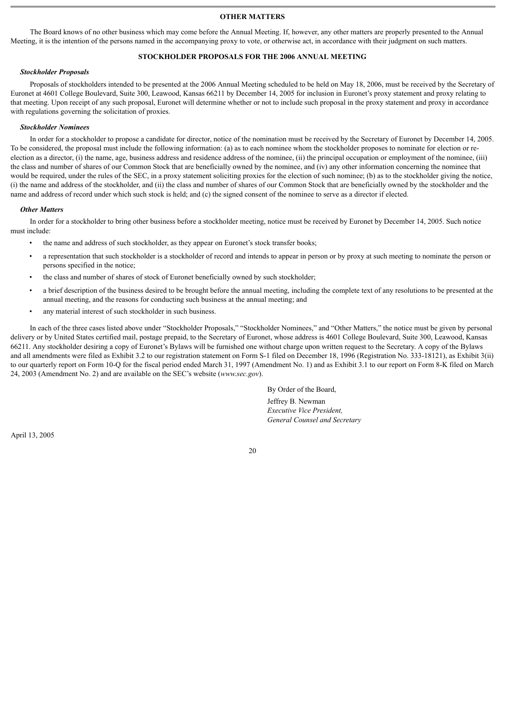# **OTHER MATTERS**

The Board knows of no other business which may come before the Annual Meeting. If, however, any other matters are properly presented to the Annual Meeting, it is the intention of the persons named in the accompanying proxy to vote, or otherwise act, in accordance with their judgment on such matters.

# **STOCKHOLDER PROPOSALS FOR THE 2006 ANNUAL MEETING**

# *Stockholder Proposals*

Proposals of stockholders intended to be presented at the 2006 Annual Meeting scheduled to be held on May 18, 2006, must be received by the Secretary of Euronet at 4601 College Boulevard, Suite 300, Leawood, Kansas 66211 by December 14, 2005 for inclusion in Euronet's proxy statement and proxy relating to that meeting. Upon receipt of any such proposal, Euronet will determine whether or not to include such proposal in the proxy statement and proxy in accordance with regulations governing the solicitation of proxies.

#### *Stockholder Nominees*

In order for a stockholder to propose a candidate for director, notice of the nomination must be received by the Secretary of Euronet by December 14, 2005. To be considered, the proposal must include the following information: (a) as to each nominee whom the stockholder proposes to nominate for election or reelection as a director, (i) the name, age, business address and residence address of the nominee, (ii) the principal occupation or employment of the nominee, (iii) the class and number of shares of our Common Stock that are beneficially owned by the nominee, and (iv) any other information concerning the nominee that would be required, under the rules of the SEC, in a proxy statement soliciting proxies for the election of such nominee; (b) as to the stockholder giving the notice, (i) the name and address of the stockholder, and (ii) the class and number of shares of our Common Stock that are beneficially owned by the stockholder and the name and address of record under which such stock is held; and (c) the signed consent of the nominee to serve as a director if elected.

#### *Other Matters*

In order for a stockholder to bring other business before a stockholder meeting, notice must be received by Euronet by December 14, 2005. Such notice must include:

- the name and address of such stockholder, as they appear on Euronet's stock transfer books;
- a representation that such stockholder is a stockholder of record and intends to appear in person or by proxy at such meeting to nominate the person or persons specified in the notice;
- the class and number of shares of stock of Euronet beneficially owned by such stockholder;
- a brief description of the business desired to be brought before the annual meeting, including the complete text of any resolutions to be presented at the annual meeting, and the reasons for conducting such business at the annual meeting; and
- any material interest of such stockholder in such business.

In each of the three cases listed above under "Stockholder Proposals," "Stockholder Nominees," and "Other Matters," the notice must be given by personal delivery or by United States certified mail, postage prepaid, to the Secretary of Euronet, whose address is 4601 College Boulevard, Suite 300, Leawood, Kansas 66211. Any stockholder desiring a copy of Euronet's Bylaws will be furnished one without charge upon written request to the Secretary. A copy of the Bylaws and all amendments were filed as Exhibit 3.2 to our registration statement on Form S-1 filed on December 18, 1996 (Registration No. 333-18121), as Exhibit 3(ii) to our quarterly report on Form 10-Q for the fiscal period ended March 31, 1997 (Amendment No. 1) and as Exhibit 3.1 to our report on Form 8-K filed on March 24, 2003 (Amendment No. 2) and are available on the SEC's website (*www.sec.gov*).

By Order of the Board,

Jeffrey B. Newman *Executive Vice President, General Counsel and Secretary*

April 13, 2005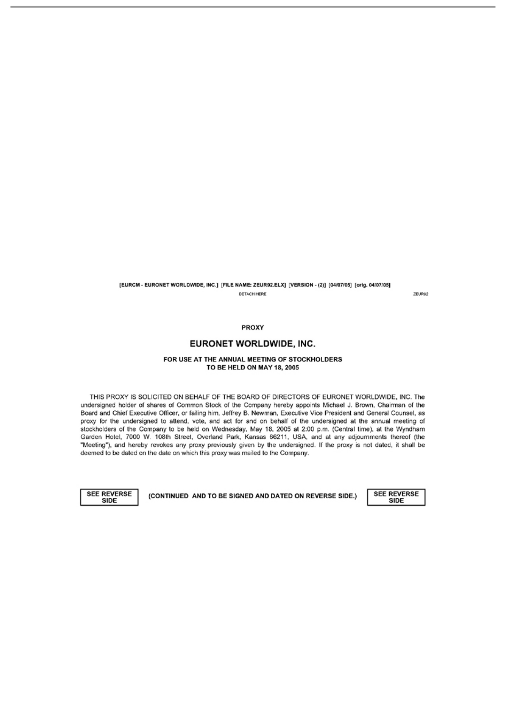[EURCM - EURONET WORLDWIDE, INC.] [FILE NAME: ZEUR92.ELX] [VERSION - (2)] [04/07/05] [orig. 04/07/05] **DETACH HERE** 

ZEUR92

#### PROXY

# EURONET WORLDWIDE, INC.

#### FOR USE AT THE ANNUAL MEETING OF STOCKHOLDERS TO BE HELD ON MAY 18, 2005

THIS PROXY IS SOLICITED ON BEHALF OF THE BOARD OF DIRECTORS OF EURONET WORLDWIDE, INC. The undersigned holder of shares of Common Stock of the Company hereby appoints Michael J. Brown, Chairman of the Board and Chief Executive Officer, or failing him, Jeffrey B. Newman, Executive Vice President and General Counsel, as proxy for the undersigned to attend, vote, and act for and on behalf of the undersigned at the annual meeting of stockholders of the Company to be held on Wednesday, May 18, 2005 at 2:00 p.m. (Central time), at the Wyndham Garden Hotel, 7000 W. 108th Street, Overland Park, Kansas 66211, USA, and at any adjournments thereof (the "Meeting"), and hereby revokes any proxy previously given by the undersigned. If the proxy is not dated, it shall be deemed to be dated on the date on which this proxy was mailed to the Company.

**SEE REVERSE** SIDE

(CONTINUED AND TO BE SIGNED AND DATED ON REVERSE SIDE.)

**SEE REVERSE** SIDE